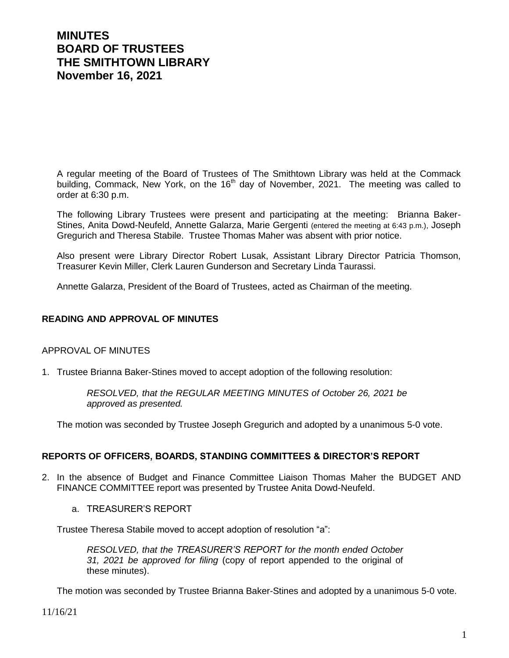# **MINUTES BOARD OF TRUSTEES THE SMITHTOWN LIBRARY November 16, 2021**

A regular meeting of the Board of Trustees of The Smithtown Library was held at the Commack building, Commack, New York, on the 16<sup>th</sup> day of November, 2021. The meeting was called to order at 6:30 p.m.

The following Library Trustees were present and participating at the meeting: Brianna Baker-Stines, Anita Dowd-Neufeld, Annette Galarza, Marie Gergenti (entered the meeting at 6:43 p.m.), Joseph Gregurich and Theresa Stabile. Trustee Thomas Maher was absent with prior notice.

Also present were Library Director Robert Lusak, Assistant Library Director Patricia Thomson, Treasurer Kevin Miller, Clerk Lauren Gunderson and Secretary Linda Taurassi.

Annette Galarza, President of the Board of Trustees, acted as Chairman of the meeting.

## **READING AND APPROVAL OF MINUTES**

## APPROVAL OF MINUTES

1. Trustee Brianna Baker-Stines moved to accept adoption of the following resolution:

*RESOLVED, that the REGULAR MEETING MINUTES of October 26, 2021 be approved as presented.*

The motion was seconded by Trustee Joseph Gregurich and adopted by a unanimous 5-0 vote.

## **REPORTS OF OFFICERS, BOARDS, STANDING COMMITTEES & DIRECTOR'S REPORT**

- 2. In the absence of Budget and Finance Committee Liaison Thomas Maher the BUDGET AND FINANCE COMMITTEE report was presented by Trustee Anita Dowd-Neufeld.
	- a. TREASURER'S REPORT

Trustee Theresa Stabile moved to accept adoption of resolution "a":

*RESOLVED, that the TREASURER'S REPORT for the month ended October 31, 2021 be approved for filing* (copy of report appended to the original of these minutes).

The motion was seconded by Trustee Brianna Baker-Stines and adopted by a unanimous 5-0 vote.

11/16/21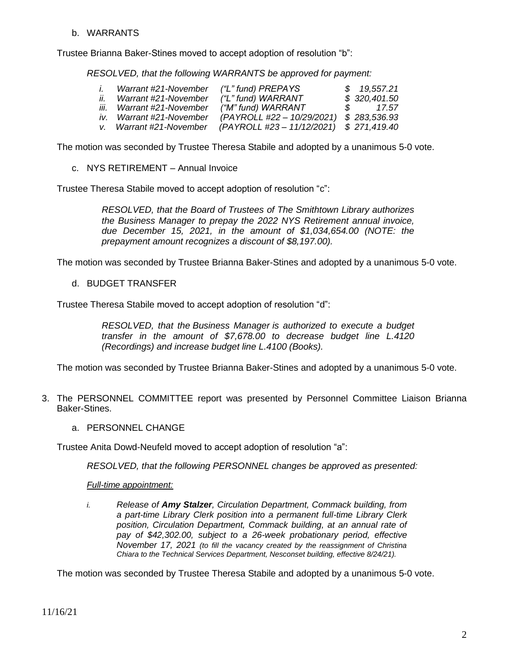## b. WARRANTS

Trustee Brianna Baker-Stines moved to accept adoption of resolution "b":

*RESOLVED, that the following WARRANTS be approved for payment:*

|     | Warrant #21-November      | ("L" fund) PREPAYS                       | \$19,557.21  |
|-----|---------------------------|------------------------------------------|--------------|
| II. | Warrant #21-November      | ("L" fund) WARRANT                       | \$320,401.50 |
|     | iii. Warrant #21-November | ("M" fund) WARRANT                       | 17.57        |
|     | iv. Warrant #21-November  | (PAYROLL #22 - 10/29/2021) \$ 283,536.93 |              |
|     | v. Warrant #21-November   | (PAYROLL #23 - 11/12/2021) \$ 271,419.40 |              |

The motion was seconded by Trustee Theresa Stabile and adopted by a unanimous 5-0 vote.

c. NYS RETIREMENT – Annual Invoice

Trustee Theresa Stabile moved to accept adoption of resolution "c":

*RESOLVED, that the Board of Trustees of The Smithtown Library authorizes the Business Manager to prepay the 2022 NYS Retirement annual invoice, due December 15, 2021, in the amount of \$1,034,654.00 (NOTE: the prepayment amount recognizes a discount of \$8,197.00).*

The motion was seconded by Trustee Brianna Baker-Stines and adopted by a unanimous 5-0 vote.

d. BUDGET TRANSFER

Trustee Theresa Stabile moved to accept adoption of resolution "d":

*RESOLVED, that the Business Manager is authorized to execute a budget transfer in the amount of \$7,678.00 to decrease budget line L.4120 (Recordings) and increase budget line L.4100 (Books).* 

The motion was seconded by Trustee Brianna Baker-Stines and adopted by a unanimous 5-0 vote.

- 3. The PERSONNEL COMMITTEE report was presented by Personnel Committee Liaison Brianna Baker-Stines.
	- a. PERSONNEL CHANGE

Trustee Anita Dowd-Neufeld moved to accept adoption of resolution "a":

*RESOLVED, that the following PERSONNEL changes be approved as presented:*

*Full-time appointment:*

*i. Release of Amy Stalzer, Circulation Department, Commack building, from a part-time Library Clerk position into a permanent full-time Library Clerk position, Circulation Department, Commack building, at an annual rate of pay of \$42,302.00, subject to a 26-week probationary period, effective November 17, 2021 (to fill the vacancy created by the reassignment of Christina Chiara to the Technical Services Department, Nesconset building, effective 8/24/21).*

The motion was seconded by Trustee Theresa Stabile and adopted by a unanimous 5-0 vote.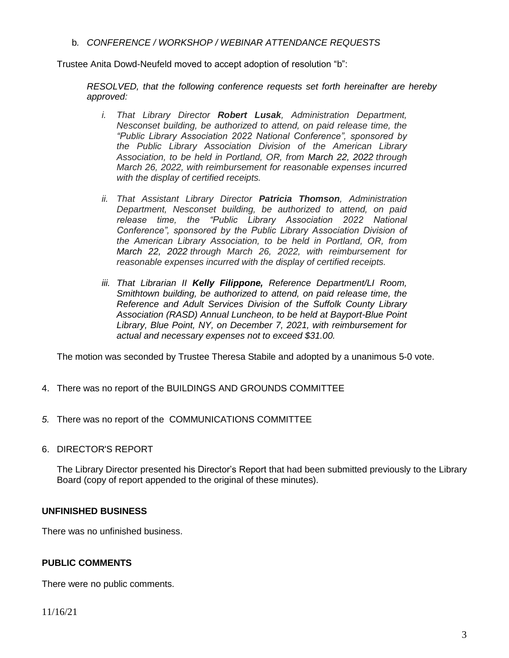b*. CONFERENCE / WORKSHOP / WEBINAR ATTENDANCE REQUESTS*

Trustee Anita Dowd-Neufeld moved to accept adoption of resolution "b":

*RESOLVED, that the following conference requests set forth hereinafter are hereby approved:*

- *i. That Library Director Robert Lusak, Administration Department, Nesconset building, be authorized to attend, on paid release time, the "Public Library Association 2022 National Conference", sponsored by the Public Library Association Division of the American Library Association, to be held in Portland, OR, from March 22, 2022 through March 26, 2022, with reimbursement for reasonable expenses incurred with the display of certified receipts.*
- *ii. That Assistant Library Director Patricia Thomson, Administration Department, Nesconset building, be authorized to attend, on paid release time, the "Public Library Association 2022 National Conference", sponsored by the Public Library Association Division of the American Library Association, to be held in Portland, OR, from March 22, 2022 through March 26, 2022, with reimbursement for reasonable expenses incurred with the display of certified receipts.*
- *iii. That Librarian II Kelly Filippone, Reference Department/LI Room, Smithtown building, be authorized to attend, on paid release time, the Reference and Adult Services Division of the Suffolk County Library Association (RASD) Annual Luncheon, to be held at Bayport-Blue Point Library, Blue Point, NY, on December 7, 2021, with reimbursement for actual and necessary expenses not to exceed \$31.00.*

The motion was seconded by Trustee Theresa Stabile and adopted by a unanimous 5-0 vote.

- 4. There was no report of the BUILDINGS AND GROUNDS COMMITTEE
- *5.* There was no report of the COMMUNICATIONS COMMITTEE
- 6. DIRECTOR'S REPORT

The Library Director presented his Director's Report that had been submitted previously to the Library Board (copy of report appended to the original of these minutes).

## **UNFINISHED BUSINESS**

There was no unfinished business.

## **PUBLIC COMMENTS**

There were no public comments.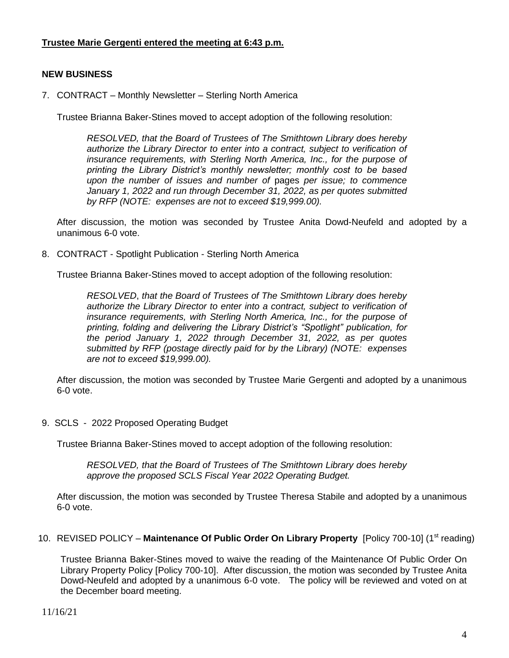# **Trustee Marie Gergenti entered the meeting at 6:43 p.m.**

# **NEW BUSINESS**

7. CONTRACT – Monthly Newsletter – Sterling North America

Trustee Brianna Baker-Stines moved to accept adoption of the following resolution:

*RESOLVED, that the Board of Trustees of The Smithtown Library does hereby authorize the Library Director to enter into a contract, subject to verification of insurance requirements, with Sterling North America, Inc., for the purpose of printing the Library District's monthly newsletter; monthly cost to be based upon the number of issues and number of* pages *per issue; to commence January 1, 2022 and run through December 31, 2022, as per quotes submitted by RFP (NOTE: expenses are not to exceed \$19,999.00).*

After discussion, the motion was seconded by Trustee Anita Dowd-Neufeld and adopted by a unanimous 6-0 vote.

8. CONTRACT - Spotlight Publication - Sterling North America

Trustee Brianna Baker-Stines moved to accept adoption of the following resolution:

*RESOLVED*, *that the Board of Trustees of The Smithtown Library does hereby authorize the Library Director to enter into a contract, subject to verification of insurance requirements, with Sterling North America, Inc., for the purpose of printing, folding and delivering the Library District's "Spotlight" publication, for the period January 1, 2022 through December 31, 2022, as per quotes submitted by RFP (postage directly paid for by the Library) (NOTE: expenses are not to exceed \$19,999.00).*

After discussion, the motion was seconded by Trustee Marie Gergenti and adopted by a unanimous 6-0 vote.

9. SCLS - 2022 Proposed Operating Budget

Trustee Brianna Baker-Stines moved to accept adoption of the following resolution:

*RESOLVED, that the Board of Trustees of The Smithtown Library does hereby approve the proposed SCLS Fiscal Year 2022 Operating Budget.*

After discussion, the motion was seconded by Trustee Theresa Stabile and adopted by a unanimous 6-0 vote.

10. REVISED POLICY – Maintenance Of Public Order On Library Property [Policy 700-10] (1<sup>st</sup> reading)

Trustee Brianna Baker-Stines moved to waive the reading of the Maintenance Of Public Order On Library Property Policy [Policy 700-10]. After discussion, the motion was seconded by Trustee Anita Dowd-Neufeld and adopted by a unanimous 6-0 vote. The policy will be reviewed and voted on at the December board meeting.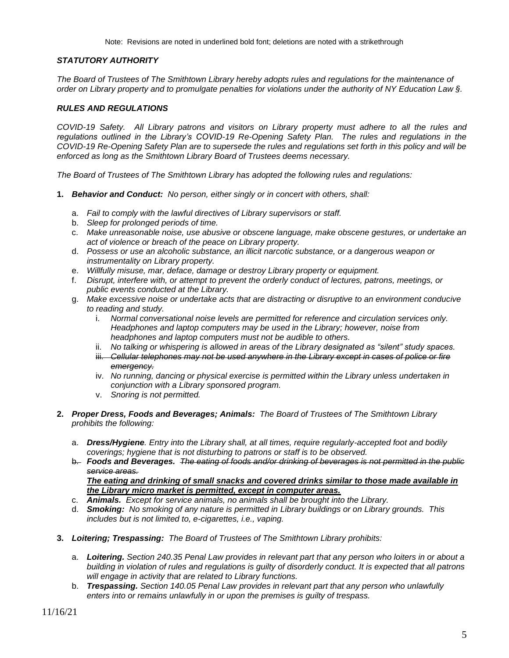## *STATUTORY AUTHORITY*

*The Board of Trustees of The Smithtown Library hereby adopts rules and regulations for the maintenance of order on Library property and to promulgate penalties for violations under the authority of NY Education Law §.*

#### *RULES AND REGULATIONS*

*COVID-19 Safety. All Library patrons and visitors on Library property must adhere to all the rules and regulations outlined in the Library's COVID-19 Re-Opening Safety Plan. The rules and regulations in the COVID-19 Re-Opening Safety Plan are to supersede the rules and regulations set forth in this policy and will be enforced as long as the Smithtown Library Board of Trustees deems necessary.*

*The Board of Trustees of The Smithtown Library has adopted the following rules and regulations:*

- **1.** *Behavior and Conduct: No person, either singly or in concert with others, shall:*
	- a. *Fail to comply with the lawful directives of Library supervisors or staff.*
	- b. *Sleep for prolonged periods of time.*
	- c. *Make unreasonable noise, use abusive or obscene language, make obscene gestures, or undertake an act of violence or breach of the peace on Library property.*
	- d. *Possess or use an alcoholic substance, an illicit narcotic substance, or a dangerous weapon or instrumentality on Library property.*
	- e. *Willfully misuse, mar, deface, damage or destroy Library property or equipment.*
	- f. *Disrupt, interfere with, or attempt to prevent the orderly conduct of lectures, patrons, meetings, or public events conducted at the Library.*
	- g. *Make excessive noise or undertake acts that are distracting or disruptive to an environment conducive to reading and study.* 
		- i. *Normal conversational noise levels are permitted for reference and circulation services only. Headphones and laptop computers may be used in the Library; however, noise from headphones and laptop computers must not be audible to others.*
		- ii. *No talking or whispering is allowed in areas of the Library designated as "silent" study spaces.*
		- iii. Cellular telephones may not be used anywhere in the Library except in cases of police or fire *emergency.*
		- iv. *No running, dancing or physical exercise is permitted within the Library unless undertaken in conjunction with a Library sponsored program.*
		- v. *Snoring is not permitted.*
- **2.** *Proper Dress, Foods and Beverages; Animals: The Board of Trustees of The Smithtown Library prohibits the following:*
	- a. *Dress/Hygiene. Entry into the Library shall, at all times, require regularly-accepted foot and bodily coverings; hygiene that is not disturbing to patrons or staff is to be observed.*
	- b. *Foods and Beverages. The eating of foods and/or drinking of beverages is not permitted in the public service areas. The eating and drinking of small snacks and covered drinks similar to those made available in the Library micro market is permitted, except in computer areas.*
	- c. *Animals. Except for service animals, no animals shall be brought into the Library.*
	- d. *Smoking: No smoking of any nature is permitted in Library buildings or on Library grounds. This includes but is not limited to, e-cigarettes, i.e., vaping.*
- **3.** *Loitering; Trespassing: The Board of Trustees of The Smithtown Library prohibits:*
	- a. *Loitering. Section 240.35 Penal Law provides in relevant part that any person who loiters in or about a building in violation of rules and regulations is guilty of disorderly conduct. It is expected that all patrons will engage in activity that are related to Library functions.*
	- b. *Trespassing. Section 140.05 Penal Law provides in relevant part that any person who unlawfully enters into or remains unlawfully in or upon the premises is guilty of trespass.*